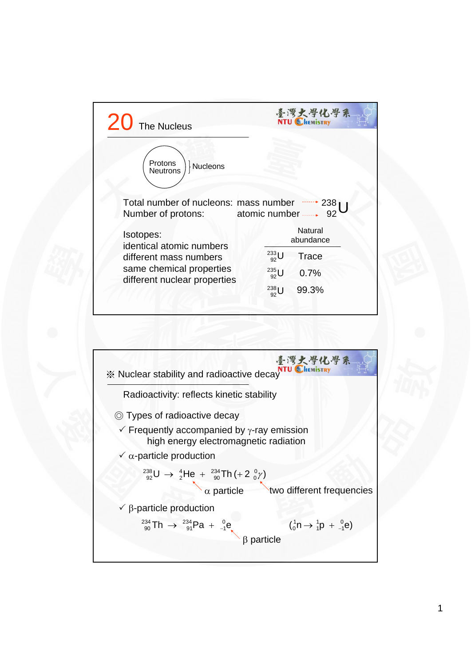

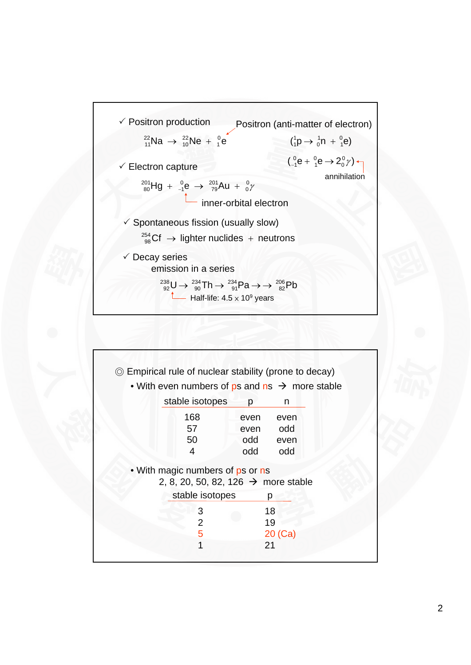

| © Empirical rule of nuclear stability (prone to decay)     |      |         |
|------------------------------------------------------------|------|---------|
| • With even numbers of ps and $ns \rightarrow$ more stable |      |         |
| stable isotopes                                            | p    | n       |
| 168                                                        | even | even    |
| 57                                                         | even | odd     |
| 50                                                         | odd  | even    |
| 4                                                          | odd  | odd     |
| • With magic numbers of ps or ns                           |      |         |
| 2, 8, 20, 50, 82, 126 $\rightarrow$ more stable            |      |         |
| stable isotopes                                            |      | р       |
| 3                                                          |      | 18      |
| $\overline{2}$                                             |      | 19      |
|                                                            |      | 20 (Ca) |
| 5                                                          |      |         |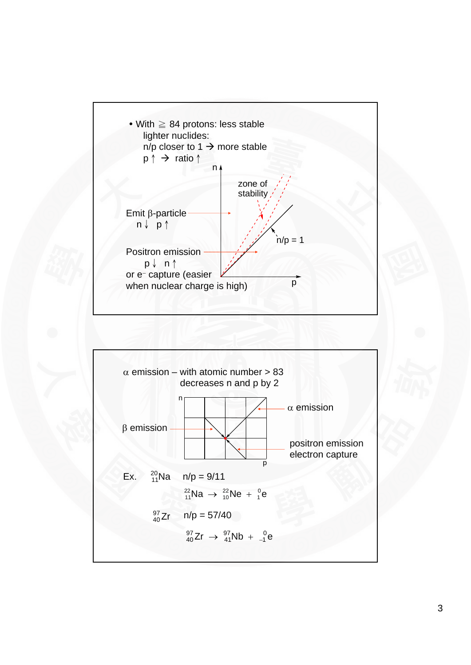

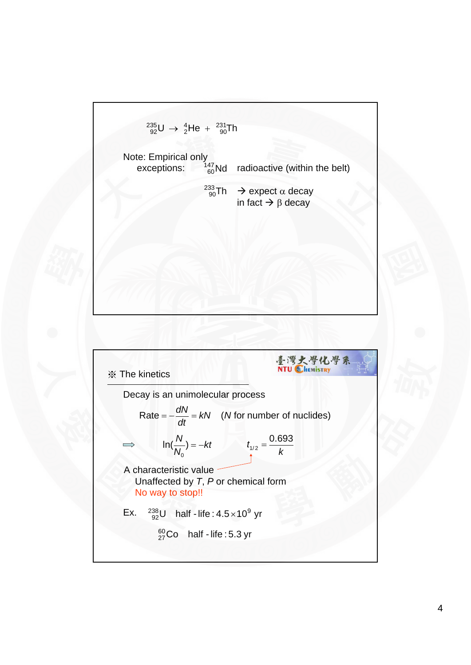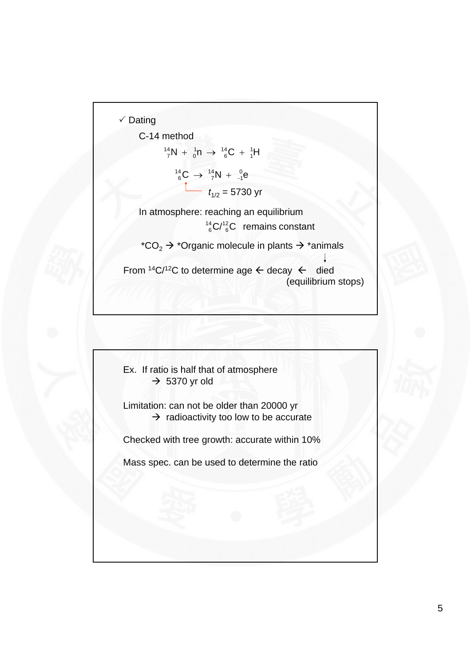

C-14 method

$$
{}^{14}_{7}N + {}^{1}_{0}n \rightarrow {}^{14}_{6}C + {}^{1}_{1}H
$$
  

$$
{}^{14}_{6}C \rightarrow {}^{14}_{7}N + {}^{0}_{-1}e
$$
  

$$
t_{1/2} = 5730 \text{ yr}
$$

In atmosphere: reaching an equilibrium  $C/I_{6}^{2}C$  remains constant 14 6

\*CO<sub>2</sub>  $\rightarrow$  \*Organic molecule in plants  $\rightarrow$  \*animals

From  $^{14}C^{12}C$  to determine age  $\leftarrow$  decay  $\leftarrow$  died (equilibrium stops)

Ex. If ratio is half that of atmosphere  $\rightarrow$  5370 yr old

Limitation: can not be older than 20000 yr  $\rightarrow$  radioactivity too low to be accurate

Checked with tree growth: accurate within 10%

Mass spec. can be used to determine the ratio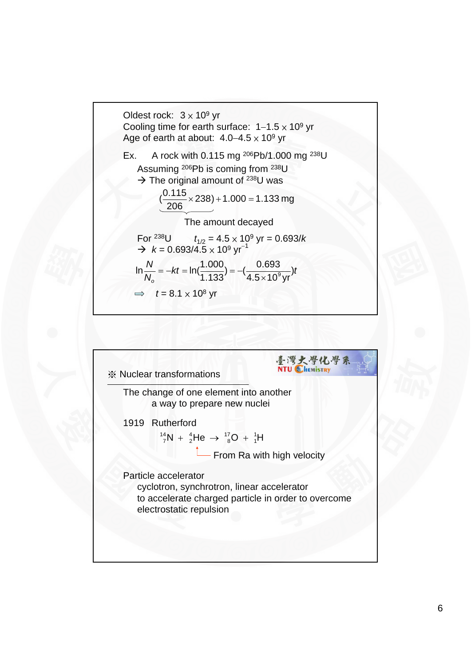

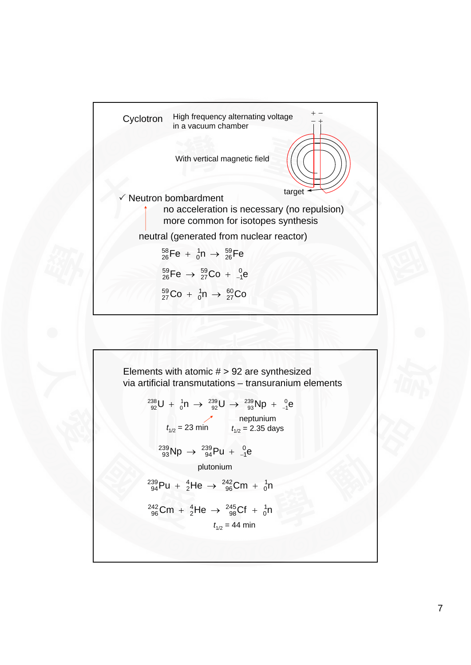

Elements with atomic # > 92 are synthesized via artificial transmissions – transuranium elements\n
$$
{}^{238}_{92}U + {}^{1}_{0}n \rightarrow {}^{239}_{92}U \rightarrow {}^{239}_{93}Np + {}^{0}_{-1}e
$$
\n
$$
t_{1/2} = 23 \text{ min} \qquad t_{1/2} = 2.35 \text{ days}
$$
\n
$$
{}^{239}_{93}Np \rightarrow {}^{239}_{94}Pu + {}^{0}_{-1}e
$$
\n
$$
{}^{239}_{94}Pu + {}^{4}_{2}He \rightarrow {}^{242}_{96}Cm + {}^{1}_{0}n
$$
\n
$$
{}^{242}_{96}Cm + {}^{4}_{2}He \rightarrow {}^{245}_{98}Cf + {}^{1}_{0}n
$$
\n
$$
t_{1/2} = 44 \text{ min}
$$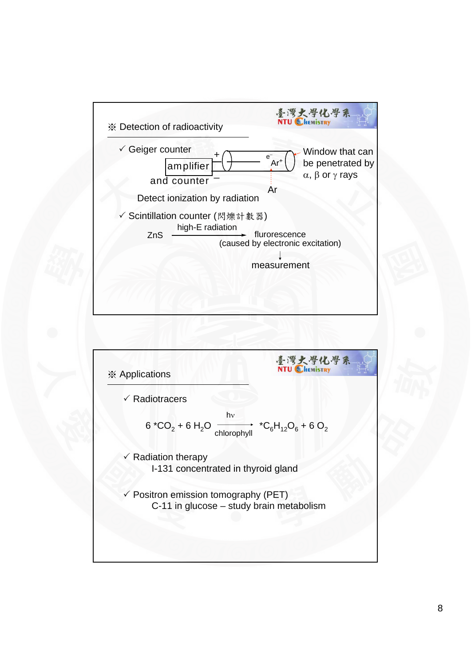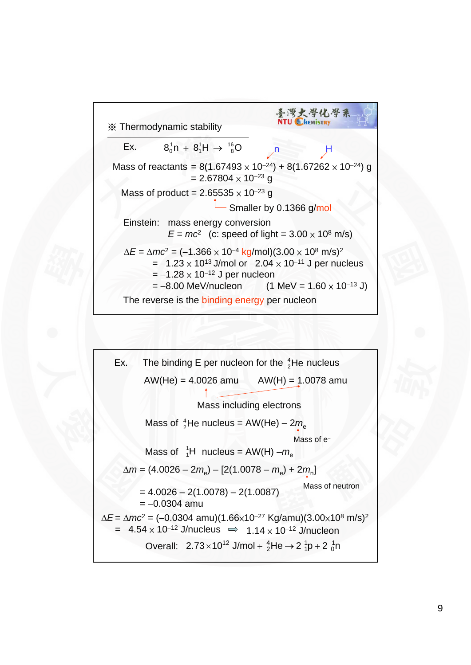

Ex. The binding E per nucleon for the <sup>4</sup><sub>2</sub>He nucleus  
\nAW(He) = 4.0026 amu  
\nMass including electrons  
\nMass of <sup>4</sup><sub>2</sub>He nucleus = AW(He) – 2m<sub>e</sub>  
\nMass of <sup>1</sup><sub>1</sub>H nucleus = AW(H) – m<sub>e</sub>  
\nMass of <sup>-1</sup><sub>1</sub>H nucleus = AW(H) – m<sub>e</sub>  
\n
$$
\Delta m = (4.0026 - 2m_e) - [2(1.0078 - m_e) + 2m_n]
$$
  
\n= 4.0026 – 2(1.0078) – 2(1.0087)  
\n= –0.0304 amu  
\n $\Delta E = \Delta mc^2 = (-0.0304 \text{ amu})(1.66 \times 10^{-27} \text{ Kg/amu})(3.00 \times 10^8 \text{ m/s})^2$   
\n= –4.54 × 10<sup>-12</sup> J/nucleus  $\Rightarrow$  1.14 × 10<sup>-12</sup> J/nucleon  
\nOverall: 2.73 × 10<sup>12</sup> J/mol + <sup>4</sup><sub>2</sub>He  $\rightarrow$  2<sup>1</sup><sub>1</sub>p + 2<sup>1</sup><sub>0</sub>h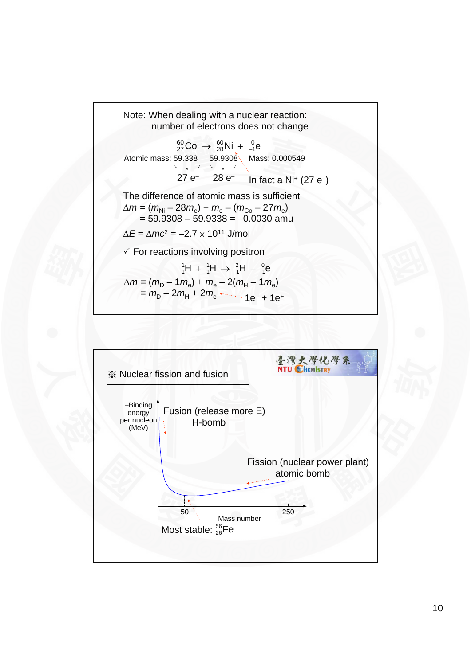

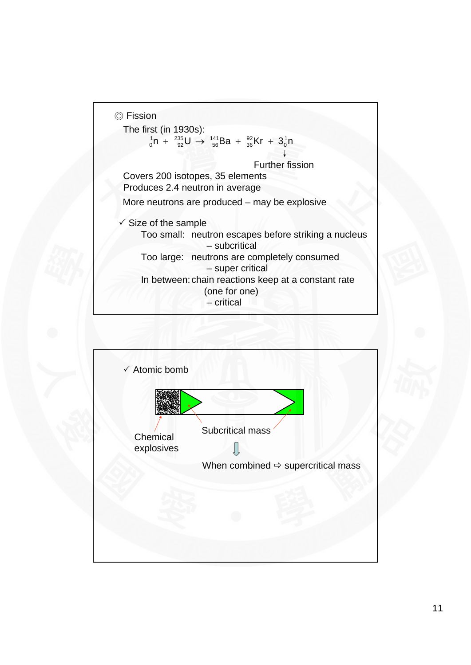

![](_page_10_Figure_1.jpeg)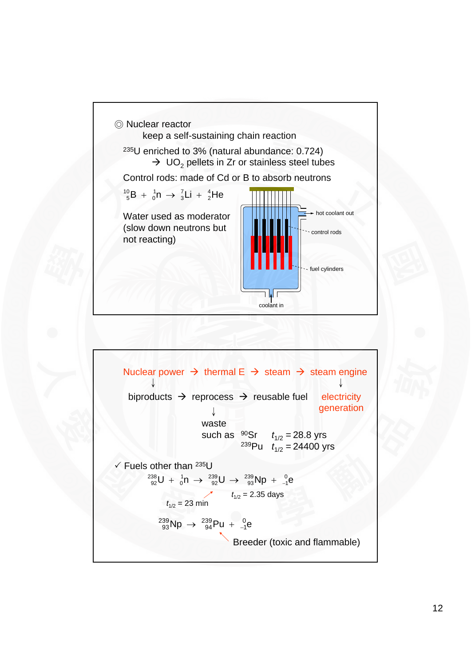![](_page_11_Figure_0.jpeg)

Nuclear power  $\rightarrow$  thermal E  $\rightarrow$  steam  $\rightarrow$  steam engine ↓ electricity generation ↓ biproducts  $\rightarrow$  reprocess  $\rightarrow$  reusable fuel ↓ waste such as  $^{90}Sr$   $t_{1/2} = 28.8$  yrs <sup>239</sup>Pu *t*<sub>1/2</sub> = 24400 yrs  $\checkmark$  Fuels other than 235U  $U + {}^{1}_{0}n \rightarrow {}^{239}_{92}U \rightarrow {}^{239}_{93}Np + {}^{0}_{-4}e$ 1 239 93 239 92 1 0  $^{238}_{92}U + ^{1}_{0}n \rightarrow ^{239}_{92}U \rightarrow ^{239}_{93}Np + ^{1}_{-}$  $t_{1/2} = 2.35$  days  $t_{1/2} = 23 \text{ min}$  $\mathsf{Np} \to \frac{239}{94} \mathsf{Pu} + \frac{0}{-1} \mathsf{e}$ 1 239 94  $^{239}_{93}$ Np  $\rightarrow$   $^{239}_{94}$ Pu +  $^{1}_{-}$ Breeder (toxic and flammable)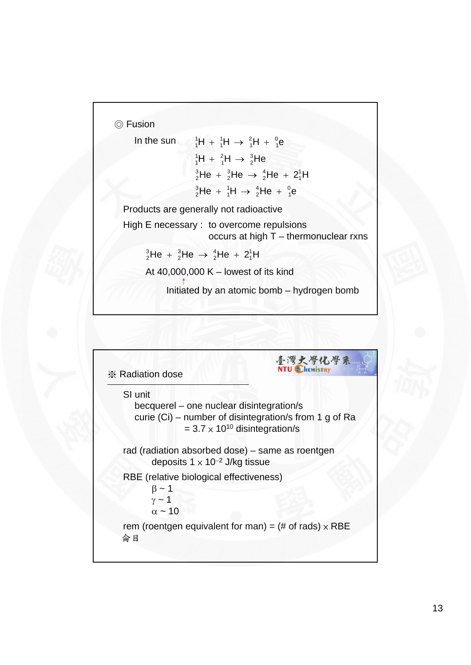◎ Fusion

```
H + {}^{1}_{1}H \rightarrow {}^{2}_{1}H + {}^{0}_{1}e1
                                                                 2
                                                                 1
                                                1
                                                1
In the sun {}_{1}^{1}H + {}_{1}^{1}H \rightarrow {}_{1}^{2}H + {}_{1}^{2}HH + {}^{2}_{1}H \rightarrow {}^{3}_{2}He2
                                                2
                                                 1
                                  {}^1_1H + {}^2_1H \rightarrowHe + {}^{3}_{2}He \rightarrow {}^{4}_{2}He + 2<sup>1</sup>H
                                                                                             1
                                                                         4
                                                                         2
                                                    3
                                                    2
                                  ^{3}_{2}He + ^{3}_{2}He \rightarrow ^{4}_{2}He +
                                    He + {}^{1}_{1}H \rightarrow {}^{4}_{2}He + {}^{0}_{1}e1
                                                                     4
                                                                     2
                                                    1
                                                    1
                                  ^{3}_{2}He + ^{1}_{1}H \rightarrow ^{4}_{2}He +
```
Products are generally not radioactive

High E necessary : to overcome repulsions occurs at high T – thermonuclear rxns

He +  $^{3}_{2}$ He  $\rightarrow$   $^{4}_{2}$ He + 2<sup>1</sup>H 1 4 2 3 2  $^{3}_{2}$ He +  $^{3}_{2}$ He  $\rightarrow$   $^{4}_{2}$ He +

At 40,000,000 K – lowest of its kind

Initiated by an atomic bomb – hydrogen bomb

![](_page_12_Figure_7.jpeg)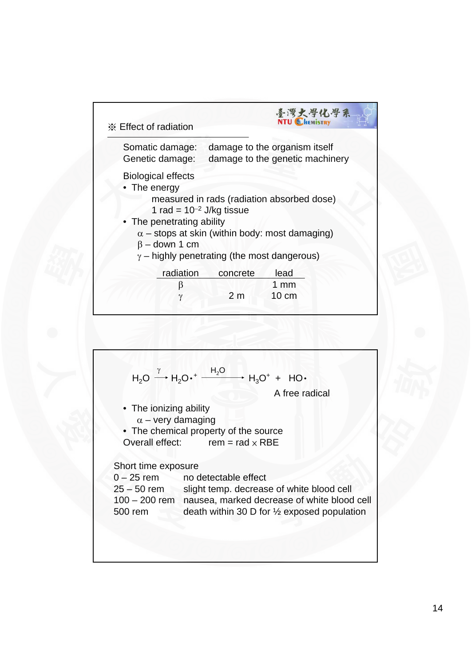| <b>※ Effect of radiation</b>                       |                | 臺灣大學化學系<br><b>NTU CHEMISTRY</b>                                  |
|----------------------------------------------------|----------------|------------------------------------------------------------------|
| Somatic damage:<br>Genetic damage:                 |                | damage to the organism itself<br>damage to the genetic machinery |
| <b>Biological effects</b><br>• The energy          |                |                                                                  |
| 1 rad = $10^{-2}$ J/kg tissue                      |                | measured in rads (radiation absorbed dose)                       |
| The penetrating ability<br>$\beta$ – down 1 cm     |                | $\alpha$ – stops at skin (within body: most damaging)            |
| $\gamma$ – highly penetrating (the most dangerous) |                |                                                                  |
| radiation<br>ß                                     | concrete       | lead<br>$1 \text{ mm}$                                           |
| $\gamma$                                           | 2 <sub>m</sub> | $10 \text{ cm}$                                                  |

![](_page_13_Figure_1.jpeg)